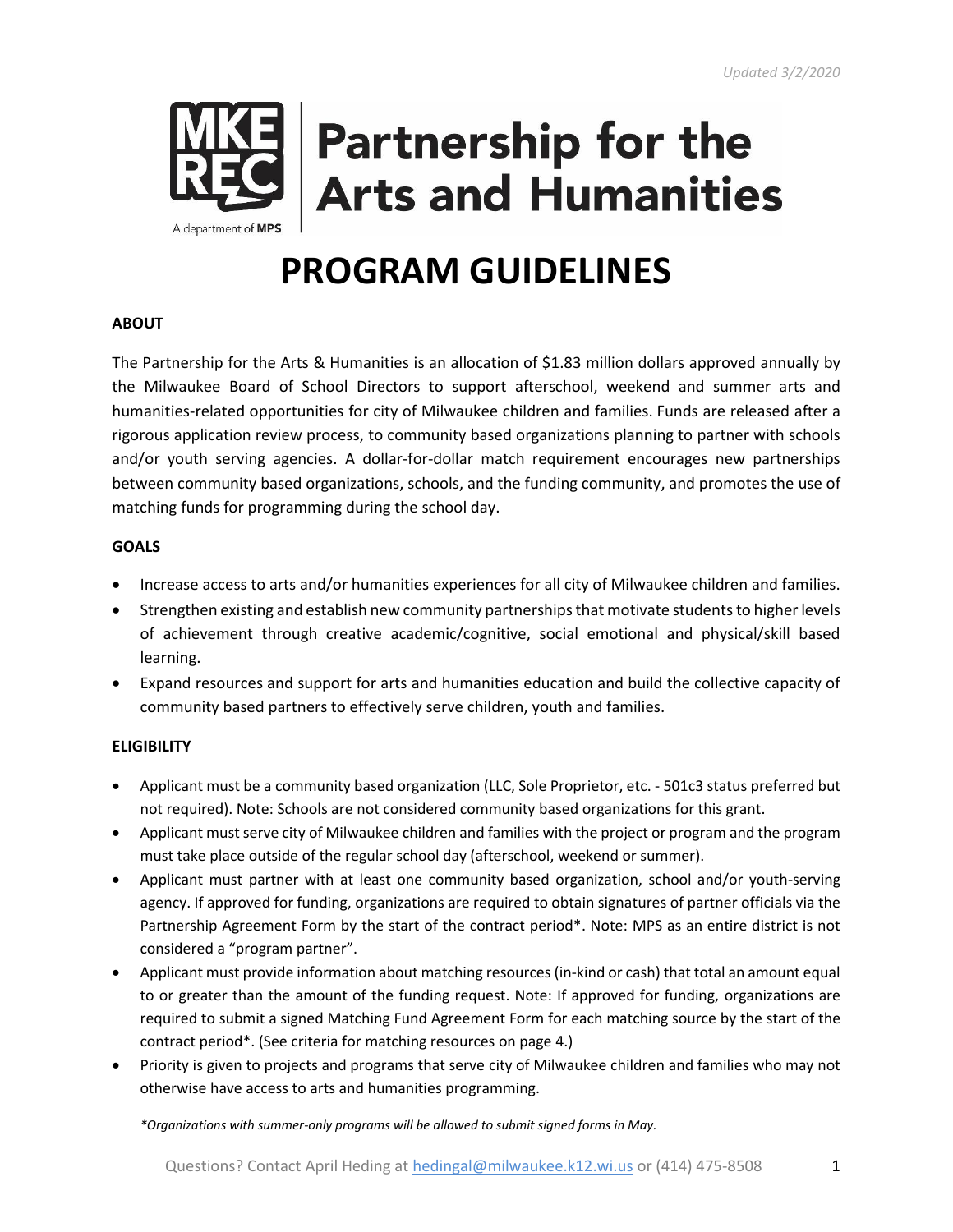

# **Partnership for the Arts and Humanities**

## **PROGRAM GUIDELINES**

#### **ABOUT**

The Partnership for the Arts & Humanities is an allocation of \$1.83 million dollars approved annually by the Milwaukee Board of School Directors to support afterschool, weekend and summer arts and humanities-related opportunities for city of Milwaukee children and families. Funds are released after a rigorous application review process, to community based organizations planning to partner with schools and/or youth serving agencies. A dollar-for-dollar match requirement encourages new partnerships between community based organizations, schools, and the funding community, and promotes the use of matching funds for programming during the school day.

#### **GOALS**

- Increase access to arts and/or humanities experiences for all city of Milwaukee children and families.
- Strengthen existing and establish new community partnerships that motivate students to higher levels of achievement through creative academic/cognitive, social emotional and physical/skill based learning.
- Expand resources and support for arts and humanities education and build the collective capacity of community based partners to effectively serve children, youth and families.

#### **ELIGIBILITY**

- Applicant must be a community based organization (LLC, Sole Proprietor, etc. 501c3 status preferred but not required). Note: Schools are not considered community based organizations for this grant.
- Applicant must serve city of Milwaukee children and families with the project or program and the program must take place outside of the regular school day (afterschool, weekend or summer).
- Applicant must partner with at least one community based organization, school and/or youth-serving agency. If approved for funding, organizations are required to obtain signatures of partner officials via the Partnership Agreement Form by the start of the contract period\*. Note: MPS as an entire district is not considered a "program partner".
- Applicant must provide information about matching resources (in-kind or cash) that total an amount equal to or greater than the amount of the funding request. Note: If approved for funding, organizations are required to submit a signed Matching Fund Agreement Form for each matching source by the start of the contract period\*. (See criteria for matching resources on page 4.)
- Priority is given to projects and programs that serve city of Milwaukee children and families who may not otherwise have access to arts and humanities programming.

*\*Organizations with summer-only programs will be allowed to submit signed forms in May.*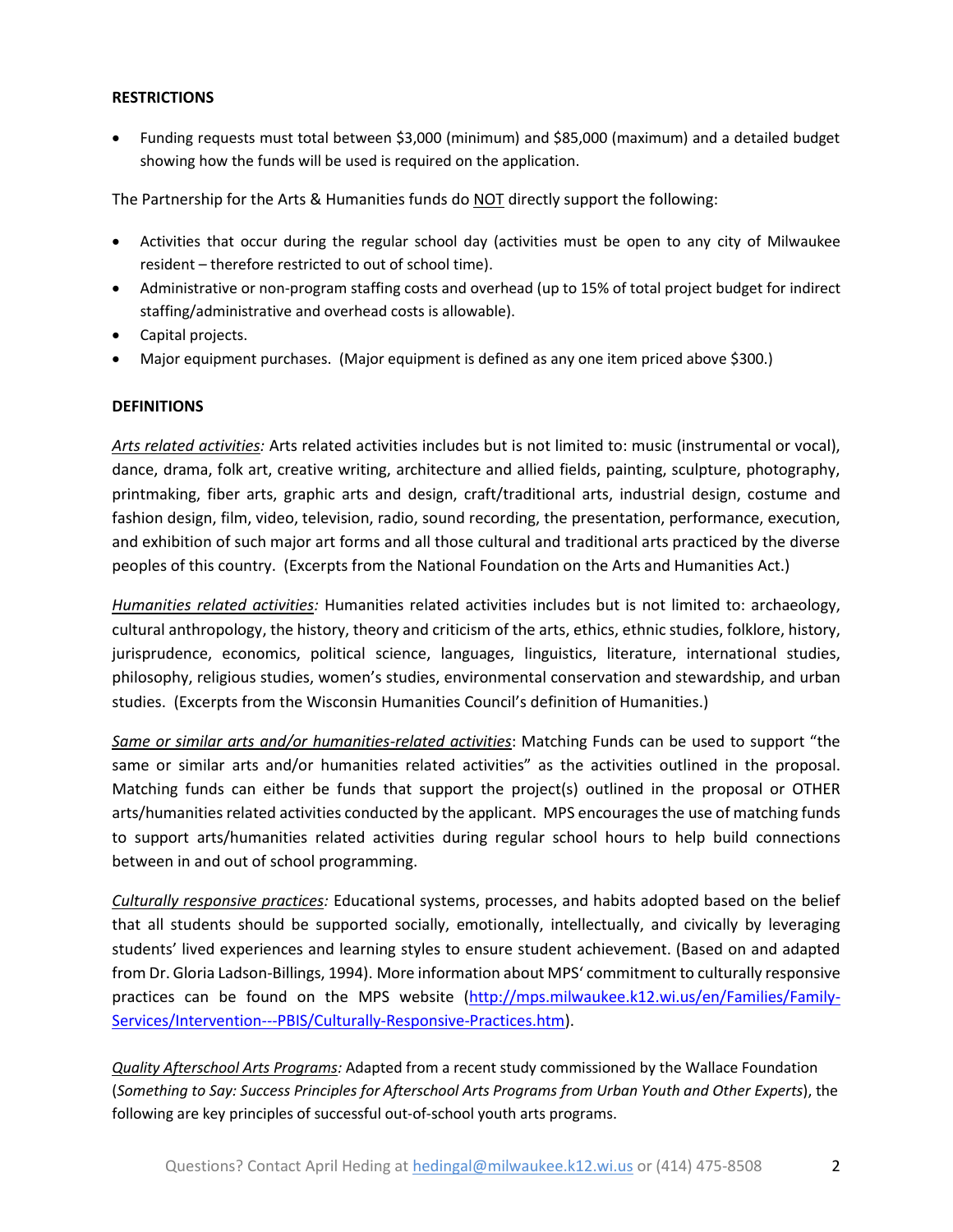#### **RESTRICTIONS**

• Funding requests must total between \$3,000 (minimum) and \$85,000 (maximum) and a detailed budget showing how the funds will be used is required on the application.

The Partnership for the Arts & Humanities funds do NOT directly support the following:

- Activities that occur during the regular school day (activities must be open to any city of Milwaukee resident – therefore restricted to out of school time).
- Administrative or non-program staffing costs and overhead (up to 15% of total project budget for indirect staffing/administrative and overhead costs is allowable).
- Capital projects.
- Major equipment purchases. (Major equipment is defined as any one item priced above \$300.)

#### **DEFINITIONS**

*Arts related activities:* Arts related activities includes but is not limited to: music (instrumental or vocal), dance, drama, folk art, creative writing, architecture and allied fields, painting, sculpture, photography, printmaking, fiber arts, graphic arts and design, craft/traditional arts, industrial design, costume and fashion design, film, video, television, radio, sound recording, the presentation, performance, execution, and exhibition of such major art forms and all those cultural and traditional arts practiced by the diverse peoples of this country. (Excerpts from the National Foundation on the Arts and Humanities Act.)

*Humanities related activities:* Humanities related activities includes but is not limited to: archaeology, cultural anthropology, the history, theory and criticism of the arts, ethics, ethnic studies, folklore, history, jurisprudence, economics, political science, languages, linguistics, literature, international studies, philosophy, religious studies, women's studies, environmental conservation and stewardship, and urban studies. (Excerpts from the Wisconsin Humanities Council's definition of Humanities.)

*Same or similar arts and/or humanities-related activities*: Matching Funds can be used to support "the same or similar arts and/or humanities related activities" as the activities outlined in the proposal. Matching funds can either be funds that support the project(s) outlined in the proposal or OTHER arts/humanities related activities conducted by the applicant. MPS encourages the use of matching funds to support arts/humanities related activities during regular school hours to help build connections between in and out of school programming.

*Culturally responsive practices:* Educational systems, processes, and habits adopted based on the belief that all students should be supported socially, emotionally, intellectually, and civically by leveraging students' lived experiences and learning styles to ensure student achievement. (Based on and adapted from Dr. Gloria Ladson-Billings, 1994). More information about MPS' commitment to culturally responsive practices can be found on the MPS website [\(http://mps.milwaukee.k12.wi.us/en/Families/Family-](http://mps.milwaukee.k12.wi.us/en/Families/Family-Services/Intervention---PBIS/Culturally-Responsive-Practices.htm)[Services/Intervention---PBIS/Culturally-Responsive-Practices.htm\)](http://mps.milwaukee.k12.wi.us/en/Families/Family-Services/Intervention---PBIS/Culturally-Responsive-Practices.htm).

*Quality Afterschool Arts Programs:* Adapted from a recent study commissioned by the Wallace Foundation (*Something to Say: Success Principles for Afterschool Arts Programs from Urban Youth and Other Experts*), the following are key principles of successful out-of-school youth arts programs.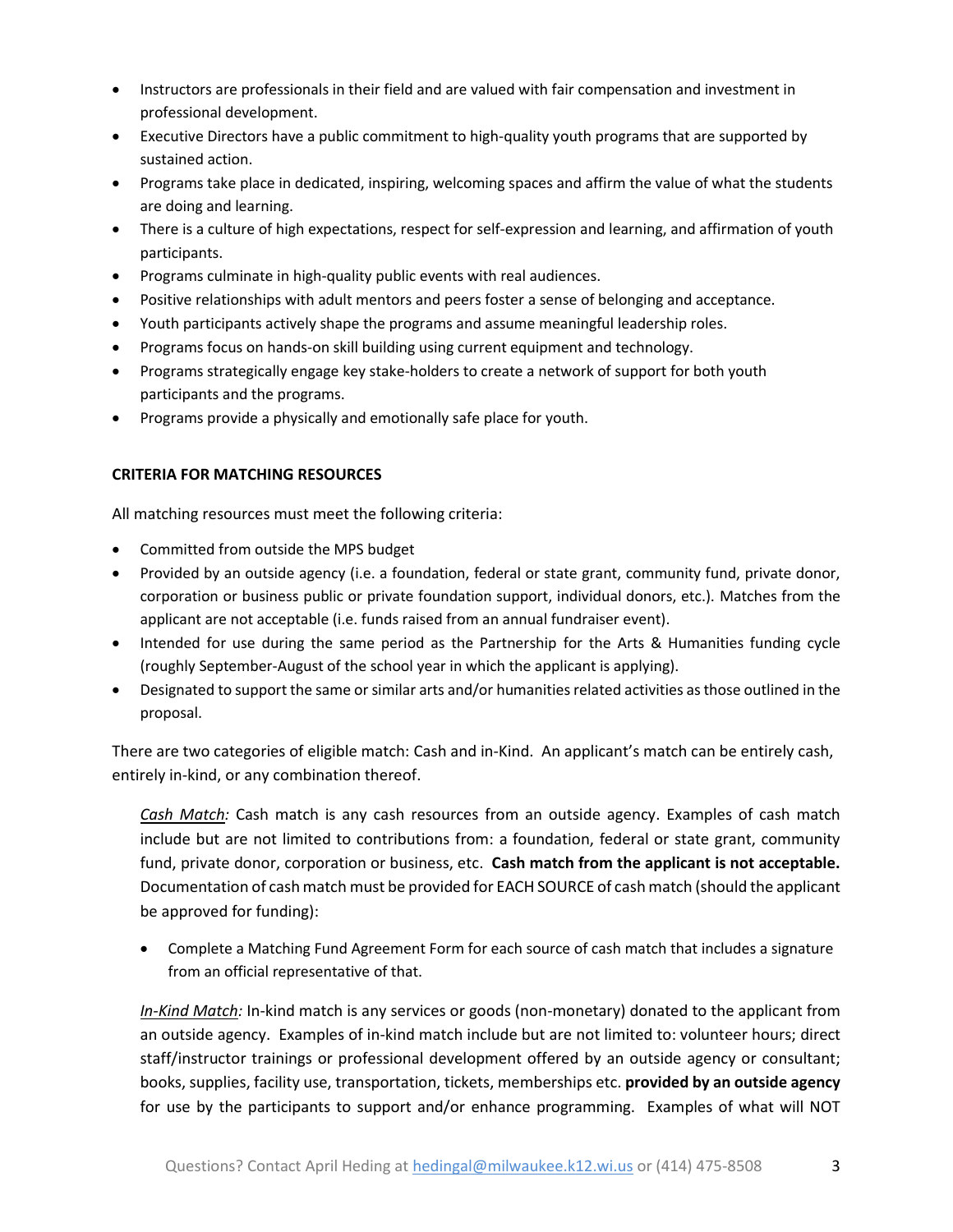- Instructors are professionals in their field and are valued with fair compensation and investment in professional development.
- Executive Directors have a public commitment to high-quality youth programs that are supported by sustained action.
- Programs take place in dedicated, inspiring, welcoming spaces and affirm the value of what the students are doing and learning.
- There is a culture of high expectations, respect for self-expression and learning, and affirmation of youth participants.
- Programs culminate in high-quality public events with real audiences.
- Positive relationships with adult mentors and peers foster a sense of belonging and acceptance.
- Youth participants actively shape the programs and assume meaningful leadership roles.
- Programs focus on hands-on skill building using current equipment and technology.
- Programs strategically engage key stake-holders to create a network of support for both youth participants and the programs.
- Programs provide a physically and emotionally safe place for youth.

#### **CRITERIA FOR MATCHING RESOURCES**

All matching resources must meet the following criteria:

- Committed from outside the MPS budget
- Provided by an outside agency (i.e. a foundation, federal or state grant, community fund, private donor, corporation or business public or private foundation support, individual donors, etc.). Matches from the applicant are not acceptable (i.e. funds raised from an annual fundraiser event).
- Intended for use during the same period as the Partnership for the Arts & Humanities funding cycle (roughly September-August of the school year in which the applicant is applying).
- Designated to support the same or similar arts and/or humanities related activities as those outlined in the proposal.

There are two categories of eligible match: Cash and in-Kind. An applicant's match can be entirely cash, entirely in-kind, or any combination thereof.

*Cash Match:* Cash match is any cash resources from an outside agency. Examples of cash match include but are not limited to contributions from: a foundation, federal or state grant, community fund, private donor, corporation or business, etc. **Cash match from the applicant is not acceptable.**  Documentation of cash match must be provided for EACH SOURCE of cash match (should the applicant be approved for funding):

• Complete a Matching Fund Agreement Form for each source of cash match that includes a signature from an official representative of that.

*In-Kind Match:* In-kind match is any services or goods (non-monetary) donated to the applicant from an outside agency. Examples of in-kind match include but are not limited to: volunteer hours; direct staff/instructor trainings or professional development offered by an outside agency or consultant; books, supplies, facility use, transportation, tickets, memberships etc. **provided by an outside agency** for use by the participants to support and/or enhance programming. Examples of what will NOT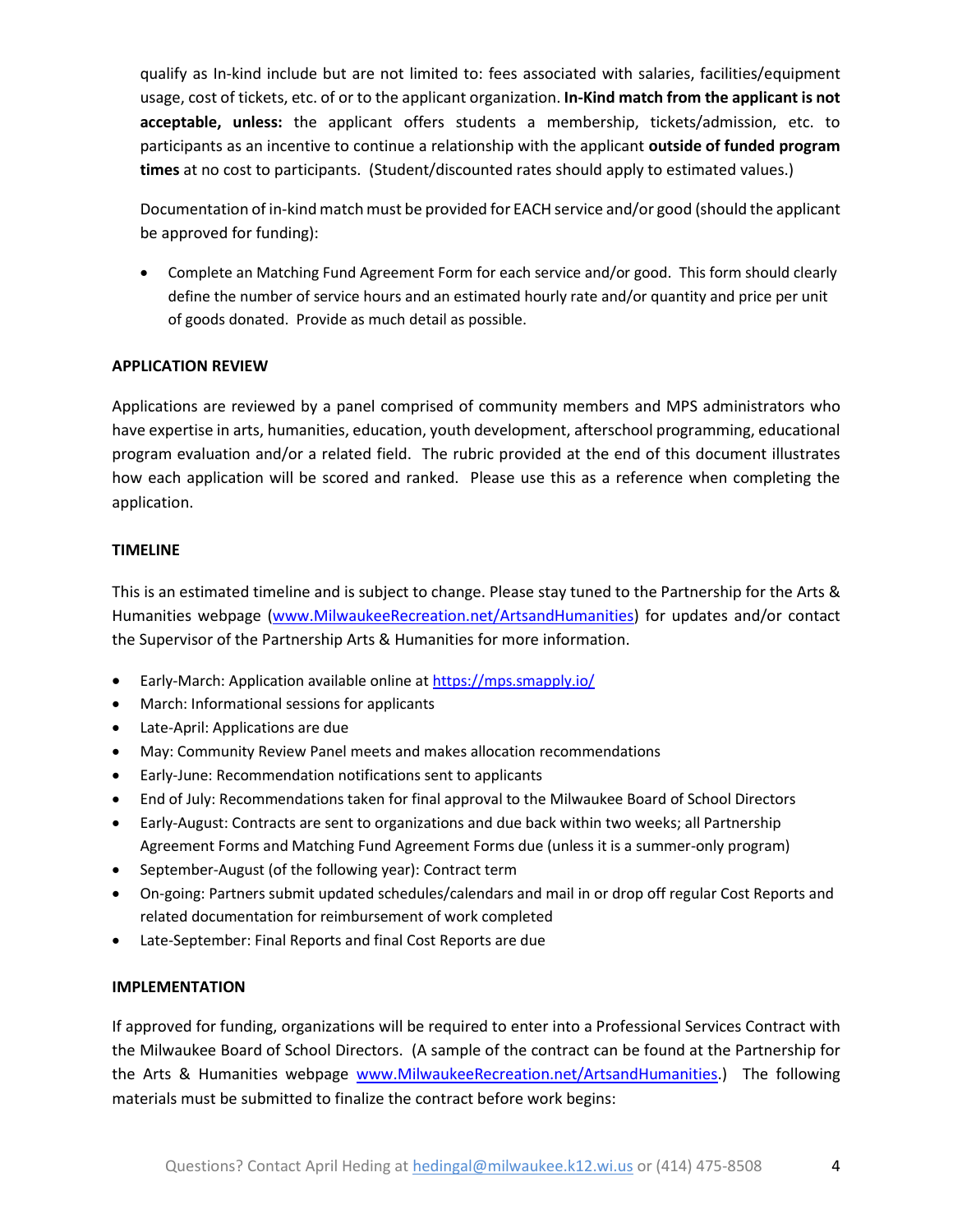qualify as In-kind include but are not limited to: fees associated with salaries, facilities/equipment usage, cost of tickets, etc. of or to the applicant organization. **In-Kind match from the applicant is not acceptable, unless:** the applicant offers students a membership, tickets/admission, etc. to participants as an incentive to continue a relationship with the applicant **outside of funded program times** at no cost to participants. (Student/discounted rates should apply to estimated values.)

Documentation of in-kind match must be provided for EACH service and/or good (should the applicant be approved for funding):

• Complete an Matching Fund Agreement Form for each service and/or good. This form should clearly define the number of service hours and an estimated hourly rate and/or quantity and price per unit of goods donated. Provide as much detail as possible.

#### **APPLICATION REVIEW**

Applications are reviewed by a panel comprised of community members and MPS administrators who have expertise in arts, humanities, education, youth development, afterschool programming, educational program evaluation and/or a related field. The rubric provided at the end of this document illustrates how each application will be scored and ranked. Please use this as a reference when completing the application.

#### **TIMELINE**

This is an estimated timeline and is subject to change. Please stay tuned to the Partnership for the Arts & Humanities webpage [\(www.MilwaukeeRecreation.net/ArtsandHumanities\)](http://www.milwaukeerecreation.net/ArtsandHumanities) for updates and/or contact the Supervisor of the Partnership Arts & Humanities for more information.

- Early-March: Application available online at <https://mps.smapply.io/>
- March: Informational sessions for applicants
- Late-April: Applications are due
- May: Community Review Panel meets and makes allocation recommendations
- Early-June: Recommendation notifications sent to applicants
- End of July: Recommendations taken for final approval to the Milwaukee Board of School Directors
- Early-August: Contracts are sent to organizations and due back within two weeks; all Partnership Agreement Forms and Matching Fund Agreement Forms due (unless it is a summer-only program)
- September-August (of the following year): Contract term
- On-going: Partners submit updated schedules/calendars and mail in or drop off regular Cost Reports and related documentation for reimbursement of work completed
- Late-September: Final Reports and final Cost Reports are due

#### **IMPLEMENTATION**

If approved for funding, organizations will be required to enter into a Professional Services Contract with the Milwaukee Board of School Directors. (A sample of the contract can be found at the Partnership for the Arts & Humanities webpage [www.MilwaukeeRecreation.net/ArtsandHumanities.](http://www.milwaukeerecreation.net/ArtsandHumanities)) The following materials must be submitted to finalize the contract before work begins: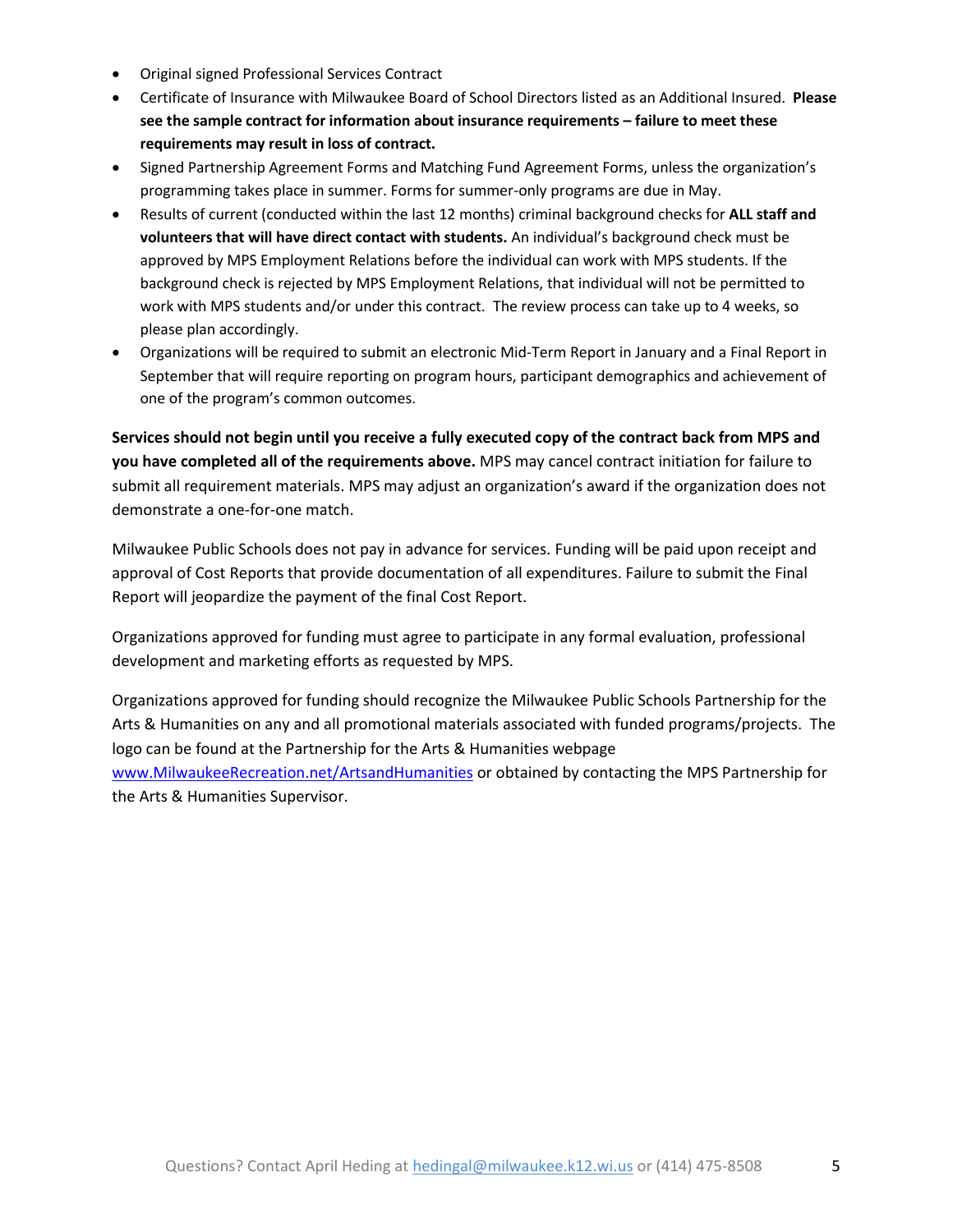- Original signed Professional Services Contract
- Certificate of Insurance with Milwaukee Board of School Directors listed as an Additional Insured. **Please see the sample contract for information about insurance requirements – failure to meet these requirements may result in loss of contract.**
- Signed Partnership Agreement Forms and Matching Fund Agreement Forms, unless the organization's programming takes place in summer. Forms for summer-only programs are due in May.
- Results of current (conducted within the last 12 months) criminal background checks for **ALL staff and volunteers that will have direct contact with students.** An individual's background check must be approved by MPS Employment Relations before the individual can work with MPS students. If the background check is rejected by MPS Employment Relations, that individual will not be permitted to work with MPS students and/or under this contract. The review process can take up to 4 weeks, so please plan accordingly.
- Organizations will be required to submit an electronic Mid-Term Report in January and a Final Report in September that will require reporting on program hours, participant demographics and achievement of one of the program's common outcomes.

**Services should not begin until you receive a fully executed copy of the contract back from MPS and you have completed all of the requirements above.** MPS may cancel contract initiation for failure to submit all requirement materials. MPS may adjust an organization's award if the organization does not demonstrate a one-for-one match.

Milwaukee Public Schools does not pay in advance for services. Funding will be paid upon receipt and approval of Cost Reports that provide documentation of all expenditures. Failure to submit the Final Report will jeopardize the payment of the final Cost Report.

Organizations approved for funding must agree to participate in any formal evaluation, professional development and marketing efforts as requested by MPS.

Organizations approved for funding should recognize the Milwaukee Public Schools Partnership for the Arts & Humanities on any and all promotional materials associated with funded programs/projects. The logo can be found at the Partnership for the Arts & Humanities webpage [www.MilwaukeeRecreation.net/ArtsandHumanities](http://www.milwaukeerecreation.net/ArtsandHumanities) or obtained by contacting the MPS Partnership for the Arts & Humanities Supervisor.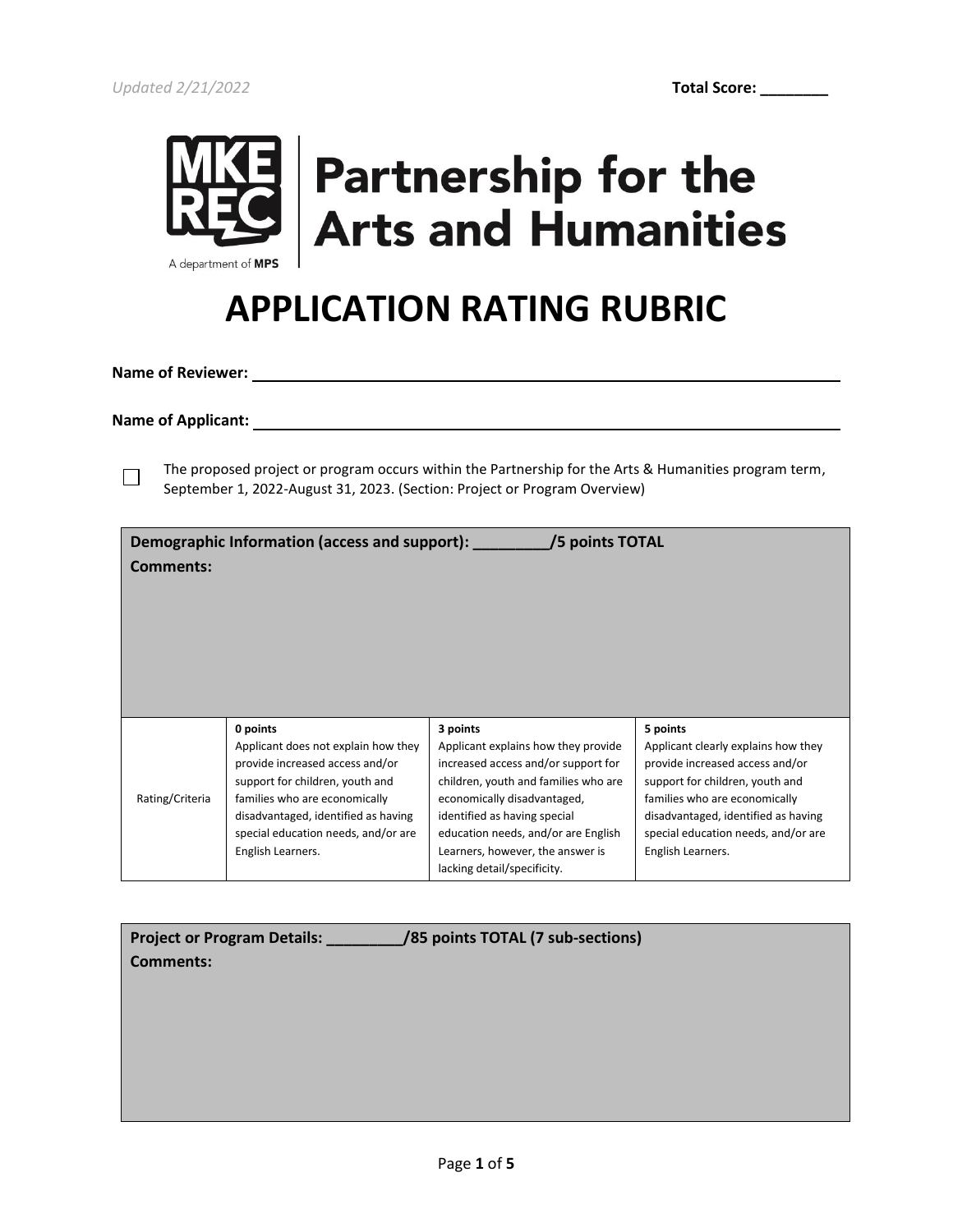

## **Partnership for the Arts and Humanities**

### **APPLICATION RATING RUBRIC**

**Name of Reviewer:** 

**Name of Applicant:** 

 $\Box$ 

The proposed project or program occurs within the Partnership for the Arts & Humanities program term, September 1, 2022-August 31, 2023. (Section: Project or Program Overview)

| Comments:       | Demographic Information (access and support):                                                                                                                                                                                                             | /5 points TOTAL                                                                                                                                                                                                                                                                                         |                                                                                                                                                                                                                                                           |
|-----------------|-----------------------------------------------------------------------------------------------------------------------------------------------------------------------------------------------------------------------------------------------------------|---------------------------------------------------------------------------------------------------------------------------------------------------------------------------------------------------------------------------------------------------------------------------------------------------------|-----------------------------------------------------------------------------------------------------------------------------------------------------------------------------------------------------------------------------------------------------------|
| Rating/Criteria | 0 points<br>Applicant does not explain how they<br>provide increased access and/or<br>support for children, youth and<br>families who are economically<br>disadvantaged, identified as having<br>special education needs, and/or are<br>English Learners. | 3 points<br>Applicant explains how they provide<br>increased access and/or support for<br>children, youth and families who are<br>economically disadvantaged,<br>identified as having special<br>education needs, and/or are English<br>Learners, however, the answer is<br>lacking detail/specificity. | 5 points<br>Applicant clearly explains how they<br>provide increased access and/or<br>support for children, youth and<br>families who are economically<br>disadvantaged, identified as having<br>special education needs, and/or are<br>English Learners. |

| /85 points TOTAL (7 sub-sections)<br><b>Project or Program Details:</b><br><b>Comments:</b> |
|---------------------------------------------------------------------------------------------|
|                                                                                             |
|                                                                                             |
|                                                                                             |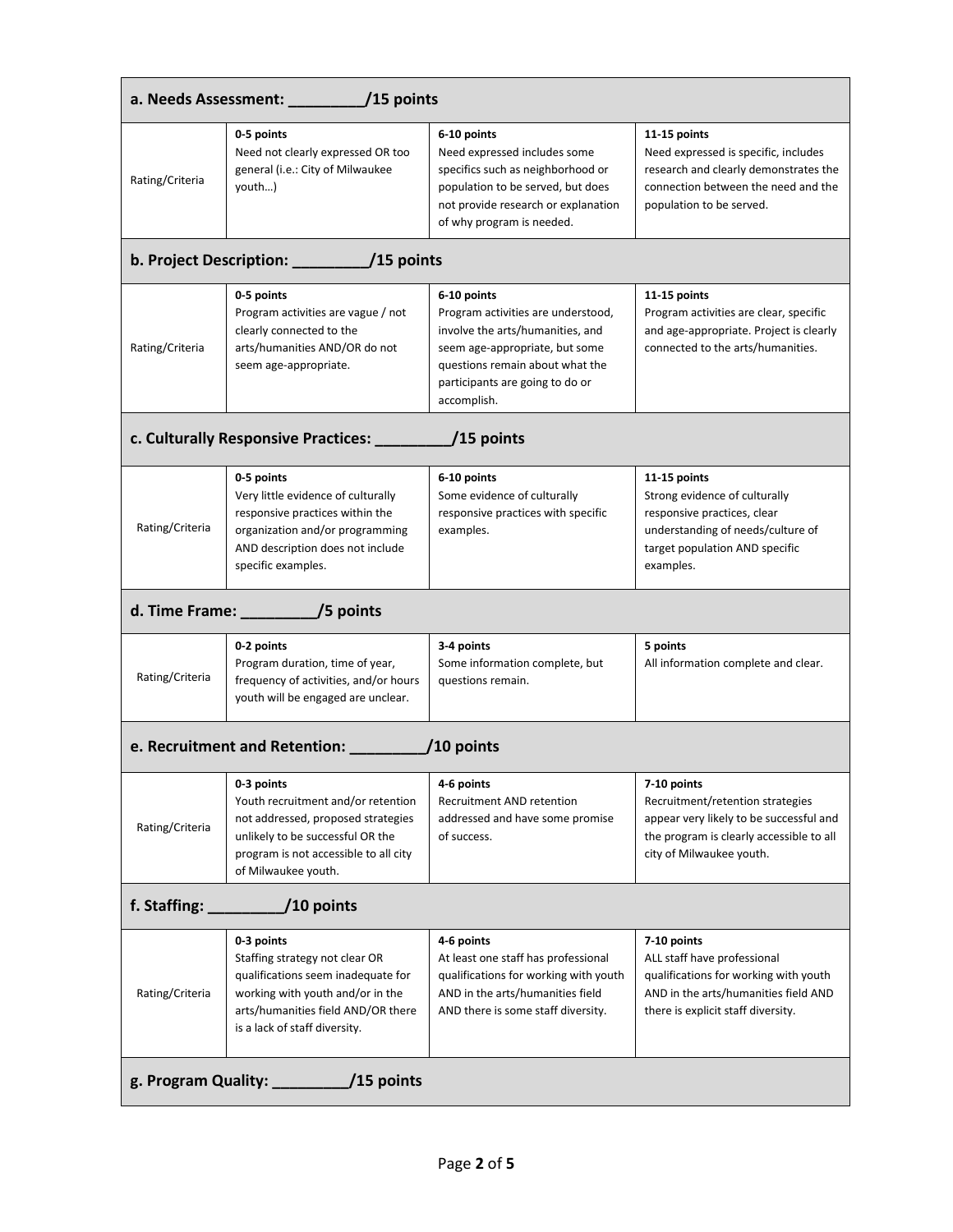| Rating/Criteria                                        | 0-5 points<br>Need not clearly expressed OR too<br>general (i.e.: City of Milwaukee<br>youth)                                                                                                 | 6-10 points<br>Need expressed includes some<br>specifics such as neighborhood or<br>population to be served, but does<br>not provide research or explanation<br>of why program is needed.                    | 11-15 points<br>Need expressed is specific, includes<br>research and clearly demonstrates the<br>connection between the need and the<br>population to be served.   |  |
|--------------------------------------------------------|-----------------------------------------------------------------------------------------------------------------------------------------------------------------------------------------------|--------------------------------------------------------------------------------------------------------------------------------------------------------------------------------------------------------------|--------------------------------------------------------------------------------------------------------------------------------------------------------------------|--|
|                                                        |                                                                                                                                                                                               |                                                                                                                                                                                                              |                                                                                                                                                                    |  |
| Rating/Criteria                                        | 0-5 points<br>Program activities are vague / not<br>clearly connected to the<br>arts/humanities AND/OR do not<br>seem age-appropriate.                                                        | 6-10 points<br>Program activities are understood,<br>involve the arts/humanities, and<br>seem age-appropriate, but some<br>questions remain about what the<br>participants are going to do or<br>accomplish. | 11-15 points<br>Program activities are clear, specific<br>and age-appropriate. Project is clearly<br>connected to the arts/humanities.                             |  |
|                                                        | c. Culturally Responsive Practices: __                                                                                                                                                        | $/15$ points                                                                                                                                                                                                 |                                                                                                                                                                    |  |
| Rating/Criteria                                        | 0-5 points<br>Very little evidence of culturally<br>responsive practices within the<br>organization and/or programming<br>AND description does not include<br>specific examples.              | 6-10 points<br>Some evidence of culturally<br>responsive practices with specific<br>examples.                                                                                                                | 11-15 points<br>Strong evidence of culturally<br>responsive practices, clear<br>understanding of needs/culture of<br>target population AND specific<br>examples.   |  |
|                                                        | d. Time Frame: ____________/5 points                                                                                                                                                          |                                                                                                                                                                                                              |                                                                                                                                                                    |  |
| Rating/Criteria                                        | 0-2 points<br>Program duration, time of year,<br>frequency of activities, and/or hours<br>youth will be engaged are unclear.                                                                  | 3-4 points<br>Some information complete, but<br>questions remain.                                                                                                                                            | 5 points<br>All information complete and clear.                                                                                                                    |  |
| e. Recruitment and Retention: _____________ /10 points |                                                                                                                                                                                               |                                                                                                                                                                                                              |                                                                                                                                                                    |  |
| Rating/Criteria                                        | 0-3 points<br>Youth recruitment and/or retention<br>not addressed, proposed strategies<br>unlikely to be successful OR the<br>program is not accessible to all city<br>of Milwaukee youth.    | 4-6 points<br>Recruitment AND retention<br>addressed and have some promise<br>of success.                                                                                                                    | 7-10 points<br>Recruitment/retention strategies<br>appear very likely to be successful and<br>the program is clearly accessible to all<br>city of Milwaukee youth. |  |
| f. Staffing:<br>/10 points                             |                                                                                                                                                                                               |                                                                                                                                                                                                              |                                                                                                                                                                    |  |
| Rating/Criteria                                        | 0-3 points<br>Staffing strategy not clear OR<br>qualifications seem inadequate for<br>working with youth and/or in the<br>arts/humanities field AND/OR there<br>is a lack of staff diversity. | 4-6 points<br>At least one staff has professional<br>qualifications for working with youth<br>AND in the arts/humanities field<br>AND there is some staff diversity.                                         | 7-10 points<br>ALL staff have professional<br>qualifications for working with youth<br>AND in the arts/humanities field AND<br>there is explicit staff diversity.  |  |
| g. Program Quality: $\frac{1}{2}$ /15 points           |                                                                                                                                                                                               |                                                                                                                                                                                                              |                                                                                                                                                                    |  |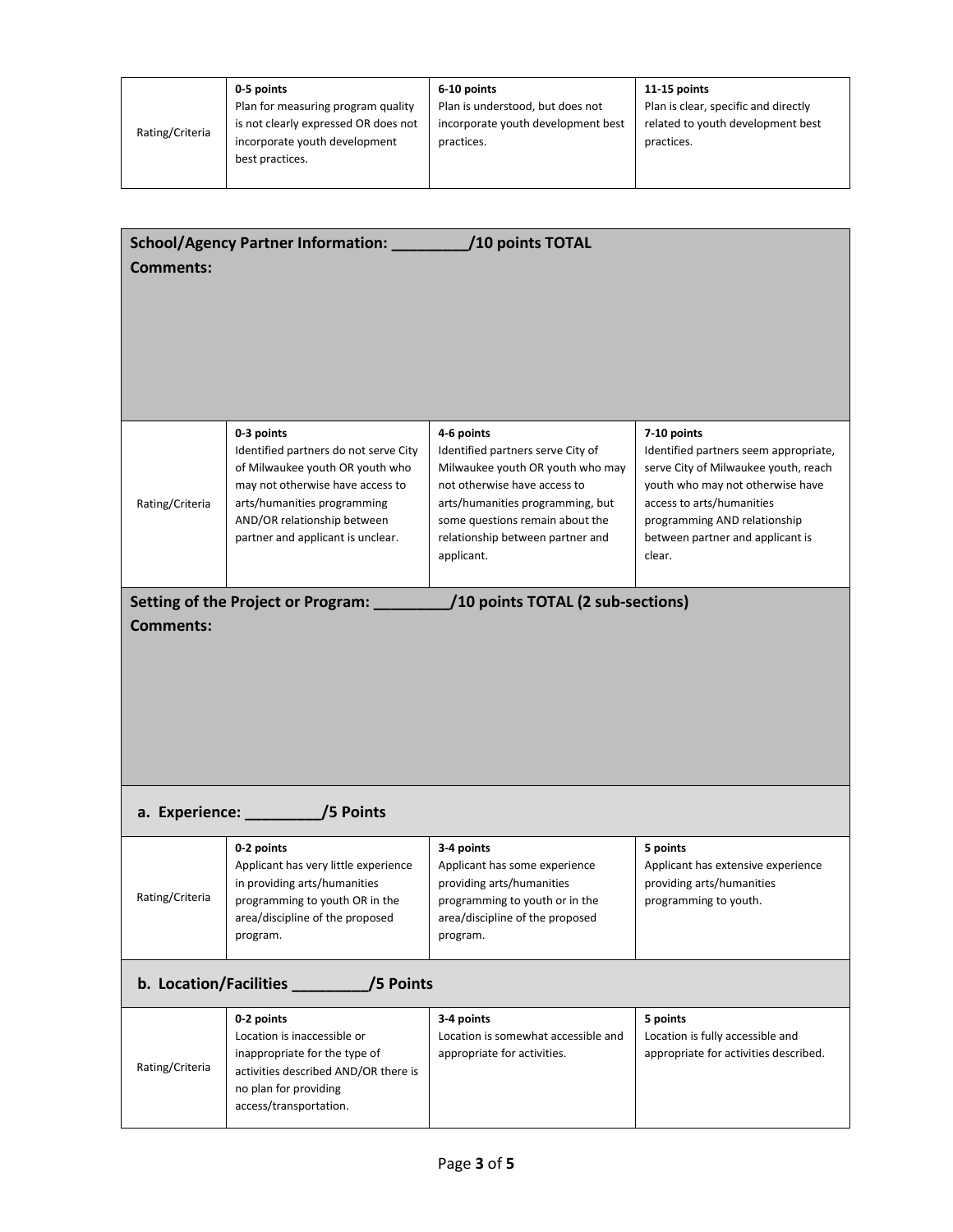|                 | 0-5 points                           | 6-10 points                        | 11-15 points                         |
|-----------------|--------------------------------------|------------------------------------|--------------------------------------|
| Rating/Criteria | Plan for measuring program quality   | Plan is understood, but does not   | Plan is clear, specific and directly |
|                 | is not clearly expressed OR does not | incorporate youth development best | related to youth development best    |
|                 | incorporate youth development        | practices.                         | practices.                           |
|                 | best practices.                      |                                    |                                      |
|                 |                                      |                                    |                                      |

| <b>Comments:</b>                    | School/Agency Partner Information: _________                                                                                                                                                                                  | /10 points TOTAL                                                                                                                                                                                                                             |                                                                                                                                                                                                                                             |
|-------------------------------------|-------------------------------------------------------------------------------------------------------------------------------------------------------------------------------------------------------------------------------|----------------------------------------------------------------------------------------------------------------------------------------------------------------------------------------------------------------------------------------------|---------------------------------------------------------------------------------------------------------------------------------------------------------------------------------------------------------------------------------------------|
| Rating/Criteria                     | 0-3 points<br>Identified partners do not serve City<br>of Milwaukee youth OR youth who<br>may not otherwise have access to<br>arts/humanities programming<br>AND/OR relationship between<br>partner and applicant is unclear. | 4-6 points<br>Identified partners serve City of<br>Milwaukee youth OR youth who may<br>not otherwise have access to<br>arts/humanities programming, but<br>some questions remain about the<br>relationship between partner and<br>applicant. | 7-10 points<br>Identified partners seem appropriate,<br>serve City of Milwaukee youth, reach<br>youth who may not otherwise have<br>access to arts/humanities<br>programming AND relationship<br>between partner and applicant is<br>clear. |
| <b>Comments:</b>                    | Setting of the Project or Program:                                                                                                                                                                                            | /10 points TOTAL (2 sub-sections)                                                                                                                                                                                                            |                                                                                                                                                                                                                                             |
|                                     | a. Experience: //5 Points                                                                                                                                                                                                     |                                                                                                                                                                                                                                              |                                                                                                                                                                                                                                             |
| Rating/Criteria                     | 0-2 points<br>Applicant has very little experience<br>in providing arts/humanities<br>programming to youth OR in the<br>area/discipline of the proposed<br>program.                                                           | 3-4 points<br>Applicant has some experience<br>providing arts/humanities<br>programming to youth or in the<br>area/discipline of the proposed<br>program.                                                                                    | 5 points<br>Applicant has extensive experience<br>providing arts/humanities<br>programming to youth.                                                                                                                                        |
| b. Location/Facilities<br>/5 Points |                                                                                                                                                                                                                               |                                                                                                                                                                                                                                              |                                                                                                                                                                                                                                             |
| Rating/Criteria                     | 0-2 points<br>Location is inaccessible or<br>inappropriate for the type of<br>activities described AND/OR there is<br>no plan for providing<br>access/transportation.                                                         | 3-4 points<br>Location is somewhat accessible and<br>appropriate for activities.                                                                                                                                                             | 5 points<br>Location is fully accessible and<br>appropriate for activities described.                                                                                                                                                       |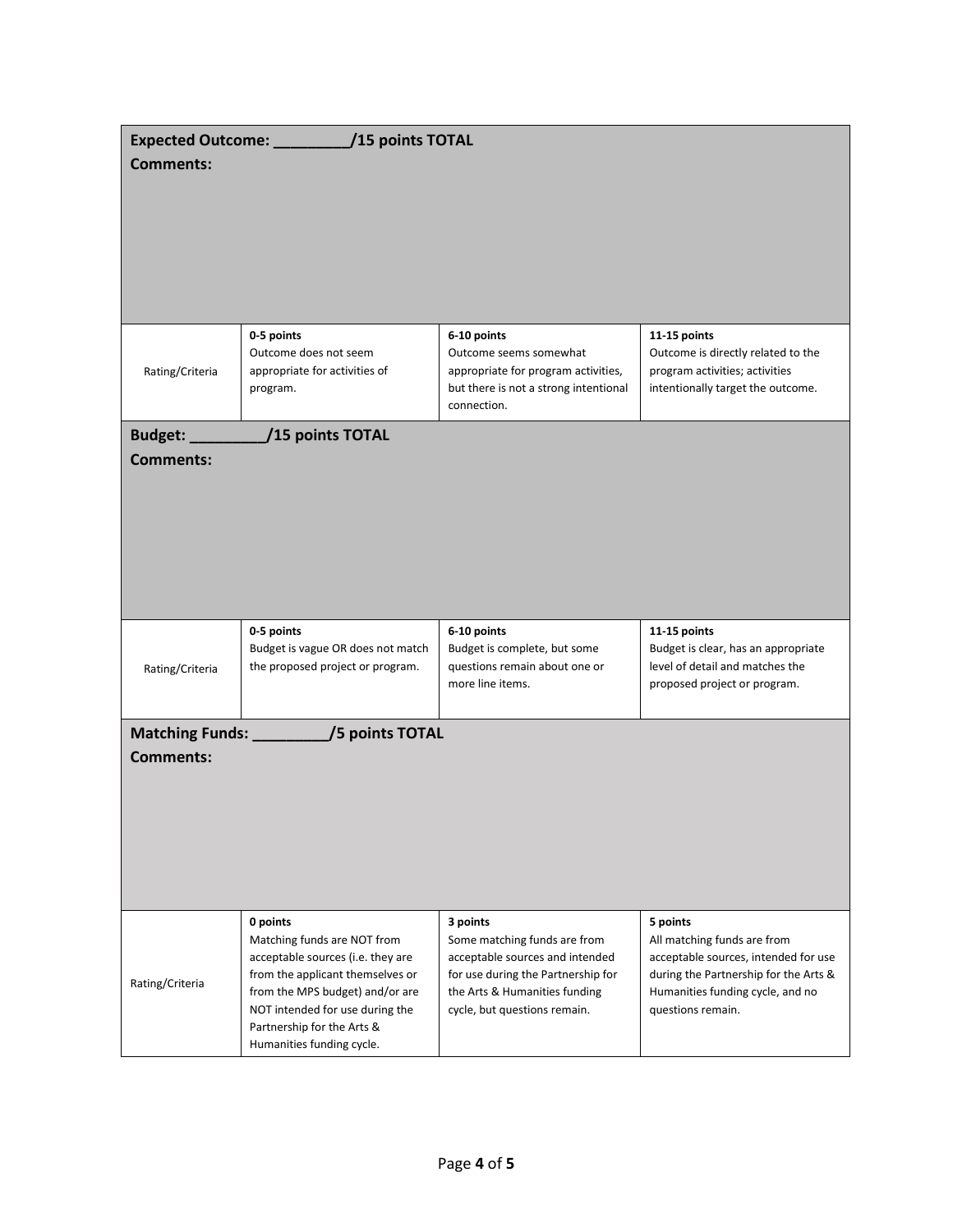| Expected Outcome: /15 points TOTAL<br><b>Comments:</b> |                                                                                  |                                                                                                                                      |                                                                                                                           |
|--------------------------------------------------------|----------------------------------------------------------------------------------|--------------------------------------------------------------------------------------------------------------------------------------|---------------------------------------------------------------------------------------------------------------------------|
|                                                        |                                                                                  |                                                                                                                                      |                                                                                                                           |
|                                                        |                                                                                  |                                                                                                                                      |                                                                                                                           |
| Rating/Criteria                                        | 0-5 points<br>Outcome does not seem<br>appropriate for activities of<br>program. | 6-10 points<br>Outcome seems somewhat<br>appropriate for program activities,<br>but there is not a strong intentional<br>connection. | 11-15 points<br>Outcome is directly related to the<br>program activities; activities<br>intentionally target the outcome. |
| Budget: _________                                      | /15 points TOTAL                                                                 |                                                                                                                                      |                                                                                                                           |
| <b>Comments:</b>                                       |                                                                                  |                                                                                                                                      |                                                                                                                           |
|                                                        |                                                                                  |                                                                                                                                      |                                                                                                                           |
|                                                        |                                                                                  |                                                                                                                                      |                                                                                                                           |
|                                                        |                                                                                  |                                                                                                                                      |                                                                                                                           |
|                                                        |                                                                                  |                                                                                                                                      |                                                                                                                           |
|                                                        |                                                                                  |                                                                                                                                      |                                                                                                                           |
|                                                        | 0-5 points<br>Budget is vague OR does not match                                  | 6-10 points<br>Budget is complete, but some                                                                                          | 11-15 points<br>Budget is clear, has an appropriate                                                                       |
| Rating/Criteria                                        | the proposed project or program.                                                 | questions remain about one or<br>more line items.                                                                                    | level of detail and matches the<br>proposed project or program.                                                           |
|                                                        |                                                                                  |                                                                                                                                      |                                                                                                                           |
|                                                        | Matching Funds: ____________/5 points TOTAL                                      |                                                                                                                                      |                                                                                                                           |
| <b>Comments:</b>                                       |                                                                                  |                                                                                                                                      |                                                                                                                           |
|                                                        |                                                                                  |                                                                                                                                      |                                                                                                                           |
|                                                        |                                                                                  |                                                                                                                                      |                                                                                                                           |
|                                                        |                                                                                  |                                                                                                                                      |                                                                                                                           |
|                                                        |                                                                                  |                                                                                                                                      |                                                                                                                           |
|                                                        | 0 points<br>Matching funds are NOT from                                          | 3 points                                                                                                                             | 5 points<br>All matching funds are from                                                                                   |
|                                                        | acceptable sources (i.e. they are                                                | Some matching funds are from<br>acceptable sources and intended                                                                      | acceptable sources, intended for use                                                                                      |
| Rating/Criteria                                        | from the applicant themselves or<br>from the MPS budget) and/or are              | for use during the Partnership for<br>the Arts & Humanities funding                                                                  | during the Partnership for the Arts &<br>Humanities funding cycle, and no                                                 |
|                                                        | NOT intended for use during the                                                  | cycle, but questions remain.                                                                                                         | questions remain.                                                                                                         |
|                                                        | Partnership for the Arts &<br>Humanities funding cycle.                          |                                                                                                                                      |                                                                                                                           |